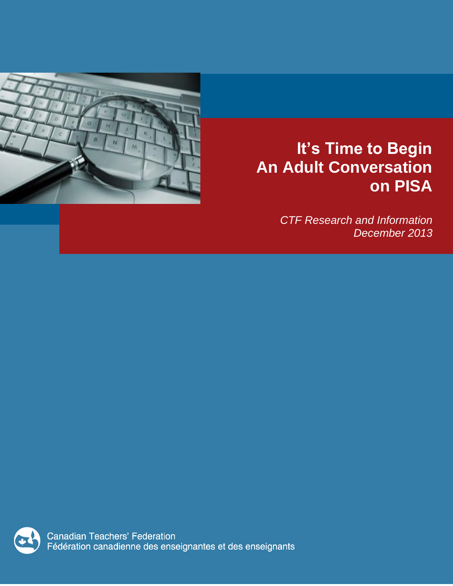

# **It's Time to Begin An Adult Conversation on PISA**

*CTF Research and Information December 2013*

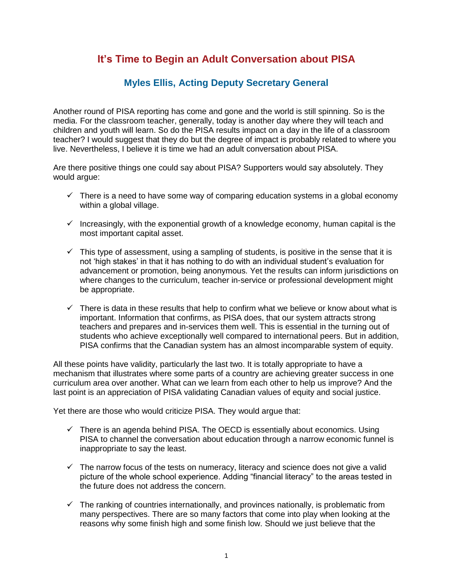# **It's Time to Begin an Adult Conversation about PISA**

# **Myles Ellis, Acting Deputy Secretary General**

Another round of PISA reporting has come and gone and the world is still spinning. So is the media. For the classroom teacher, generally, today is another day where they will teach and children and youth will learn. So do the PISA results impact on a day in the life of a classroom teacher? I would suggest that they do but the degree of impact is probably related to where you live. Nevertheless, I believe it is time we had an adult conversation about PISA.

Are there positive things one could say about PISA? Supporters would say absolutely. They would argue:

- $\checkmark$  There is a need to have some way of comparing education systems in a global economy within a global village.
- $\checkmark$  Increasingly, with the exponential growth of a knowledge economy, human capital is the most important capital asset.
- $\checkmark$  This type of assessment, using a sampling of students, is positive in the sense that it is not 'high stakes' in that it has nothing to do with an individual student's evaluation for advancement or promotion, being anonymous. Yet the results can inform jurisdictions on where changes to the curriculum, teacher in-service or professional development might be appropriate.
- $\checkmark$  There is data in these results that help to confirm what we believe or know about what is important. Information that confirms, as PISA does, that our system attracts strong teachers and prepares and in-services them well. This is essential in the turning out of students who achieve exceptionally well compared to international peers. But in addition, PISA confirms that the Canadian system has an almost incomparable system of equity.

All these points have validity, particularly the last two. It is totally appropriate to have a mechanism that illustrates where some parts of a country are achieving greater success in one curriculum area over another. What can we learn from each other to help us improve? And the last point is an appreciation of PISA validating Canadian values of equity and social justice.

Yet there are those who would criticize PISA. They would argue that:

- $\checkmark$  There is an agenda behind PISA. The OECD is essentially about economics. Using PISA to channel the conversation about education through a narrow economic funnel is inappropriate to say the least.
- $\checkmark$  The narrow focus of the tests on numeracy, literacy and science does not give a valid picture of the whole school experience. Adding "financial literacy" to the areas tested in the future does not address the concern.
- $\checkmark$  The ranking of countries internationally, and provinces nationally, is problematic from many perspectives. There are so many factors that come into play when looking at the reasons why some finish high and some finish low. Should we just believe that the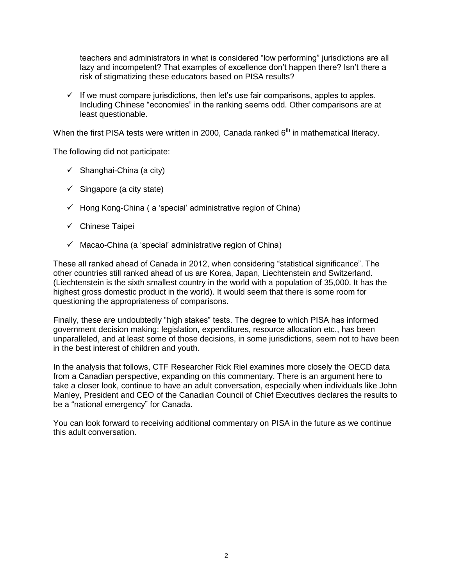teachers and administrators in what is considered "low performing" jurisdictions are all lazy and incompetent? That examples of excellence don't happen there? Isn't there a risk of stigmatizing these educators based on PISA results?

 $\checkmark$  If we must compare jurisdictions, then let's use fair comparisons, apples to apples. Including Chinese "economies" in the ranking seems odd. Other comparisons are at least questionable.

When the first PISA tests were written in 2000, Canada ranked  $6<sup>th</sup>$  in mathematical literacy.

The following did not participate:

- $\checkmark$  Shanghai-China (a city)
- $\checkmark$  Singapore (a city state)
- $\checkmark$  Hong Kong-China ( a 'special' administrative region of China)
- $\checkmark$  Chinese Taipei
- $\checkmark$  Macao-China (a 'special' administrative region of China)

These all ranked ahead of Canada in 2012, when considering "statistical significance". The other countries still ranked ahead of us are Korea, Japan, Liechtenstein and Switzerland. (Liechtenstein is the sixth smallest country in the world with a population of 35,000. It has the highest gross domestic product in the world). It would seem that there is some room for questioning the appropriateness of comparisons.

Finally, these are undoubtedly "high stakes" tests. The degree to which PISA has informed government decision making: legislation, expenditures, resource allocation etc., has been unparalleled, and at least some of those decisions, in some jurisdictions, seem not to have been in the best interest of children and youth.

In the analysis that follows, CTF Researcher Rick Riel examines more closely the OECD data from a Canadian perspective, expanding on this commentary. There is an argument here to take a closer look, continue to have an adult conversation, especially when individuals like John Manley, President and CEO of the Canadian Council of Chief Executives declares the results to be a "national emergency" for Canada.

You can look forward to receiving additional commentary on PISA in the future as we continue this adult conversation.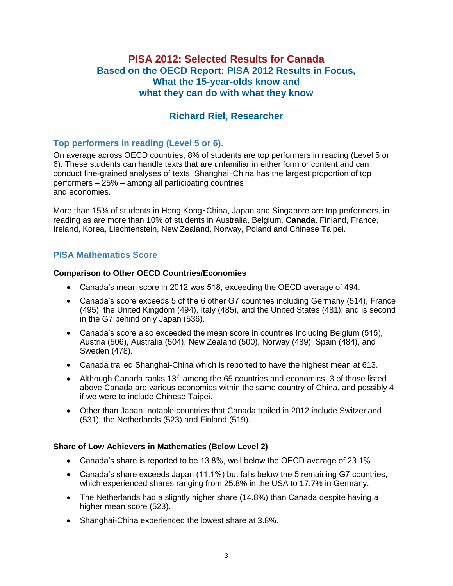# **PISA 2012: Selected Results for Canada Based on the OECD Report: PISA 2012 Results in Focus, What the 15-year-olds know and what they can do with what they know**

# **Richard Riel, Researcher**

# **Top performers in reading (Level 5 or 6).**

On average across OECD countries, 8% of students are top performers in reading (Level 5 or 6). These students can handle texts that are unfamiliar in either form or content and can conduct fine-grained analyses of texts. Shanghai‑China has the largest proportion of top performers – 25% – among all participating countries and economies.

More than 15% of students in Hong Kong‑China, Japan and Singapore are top performers, in reading as are more than 10% of students in Australia, Belgium, **Canada**, Finland, France, Ireland, Korea, Liechtenstein, New Zealand, Norway, Poland and Chinese Taipei.

## **PISA Mathematics Score**

#### **Comparison to Other OECD Countries/Economies**

- Canada's mean score in 2012 was 518, exceeding the OECD average of 494.
- Canada's score exceeds 5 of the 6 other G7 countries including Germany (514), France (495), the United Kingdom (494), Italy (485), and the United States (481); and is second in the G7 behind only Japan (536).
- Canada's score also exceeded the mean score in countries including Belgium (515), Austria (506), Australia (504), New Zealand (500), Norway (489), Spain (484), and Sweden (478).
- Canada trailed Shanghai-China which is reported to have the highest mean at 613.
- Although Canada ranks  $13<sup>th</sup>$  among the 65 countries and economics, 3 of those listed above Canada are various economies within the same country of China, and possibly 4 if we were to include Chinese Taipei.
- Other than Japan, notable countries that Canada trailed in 2012 include Switzerland (531), the Netherlands (523) and Finland (519).

#### **Share of Low Achievers in Mathematics (Below Level 2)**

- Canada's share is reported to be 13.8%, well below the OECD average of 23.1%
- Canada's share exceeds Japan (11.1%) but falls below the 5 remaining G7 countries, which experienced shares ranging from 25.8% in the USA to 17.7% in Germany.
- The Netherlands had a slightly higher share (14.8%) than Canada despite having a higher mean score (523).
- Shanghai-China experienced the lowest share at 3.8%.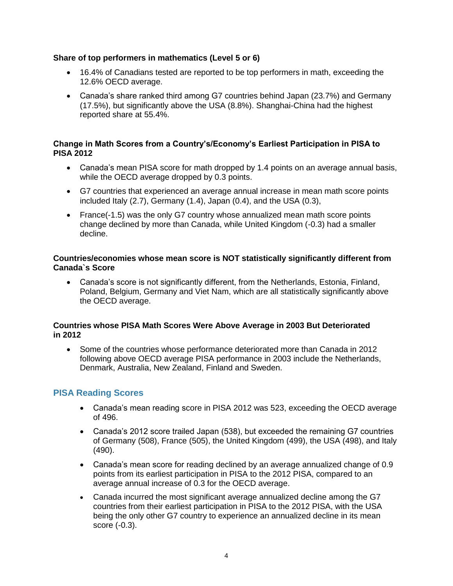#### **Share of top performers in mathematics (Level 5 or 6)**

- 16.4% of Canadians tested are reported to be top performers in math, exceeding the 12.6% OECD average.
- Canada's share ranked third among G7 countries behind Japan (23.7%) and Germany (17.5%), but significantly above the USA (8.8%). Shanghai-China had the highest reported share at 55.4%.

#### **Change in Math Scores from a Country's/Economy's Earliest Participation in PISA to PISA 2012**

- Canada's mean PISA score for math dropped by 1.4 points on an average annual basis, while the OECD average dropped by 0.3 points.
- G7 countries that experienced an average annual increase in mean math score points included Italy (2.7), Germany (1.4), Japan (0.4), and the USA (0.3),
- France(-1.5) was the only G7 country whose annualized mean math score points change declined by more than Canada, while United Kingdom (-0.3) had a smaller decline.

#### **Countries/economies whose mean score is NOT statistically significantly different from Canada`s Score**

 Canada's score is not significantly different, from the Netherlands, Estonia, Finland, Poland, Belgium, Germany and Viet Nam, which are all statistically significantly above the OECD average.

#### **Countries whose PISA Math Scores Were Above Average in 2003 But Deteriorated in 2012**

 Some of the countries whose performance deteriorated more than Canada in 2012 following above OECD average PISA performance in 2003 include the Netherlands, Denmark, Australia, New Zealand, Finland and Sweden.

## **PISA Reading Scores**

- Canada's mean reading score in PISA 2012 was 523, exceeding the OECD average of 496.
- Canada's 2012 score trailed Japan (538), but exceeded the remaining G7 countries of Germany (508), France (505), the United Kingdom (499), the USA (498), and Italy (490).
- Canada's mean score for reading declined by an average annualized change of 0.9 points from its earliest participation in PISA to the 2012 PISA, compared to an average annual increase of 0.3 for the OECD average.
- Canada incurred the most significant average annualized decline among the G7 countries from their earliest participation in PISA to the 2012 PISA, with the USA being the only other G7 country to experience an annualized decline in its mean score (-0.3).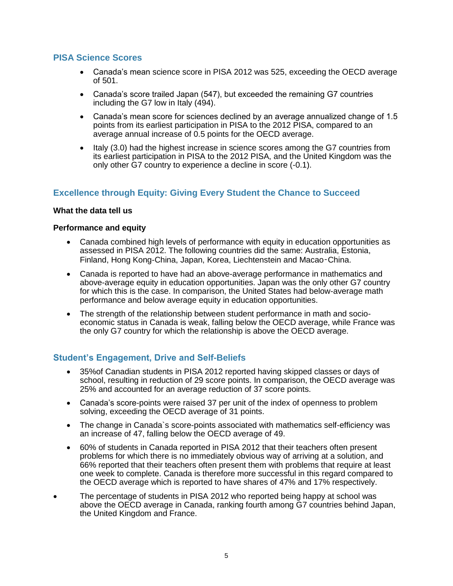### **PISA Science Scores**

- Canada's mean science score in PISA 2012 was 525, exceeding the OECD average of 501.
- Canada's score trailed Japan (547), but exceeded the remaining G7 countries including the G7 low in Italy (494).
- Canada's mean score for sciences declined by an average annualized change of 1.5 points from its earliest participation in PISA to the 2012 PISA, compared to an average annual increase of 0.5 points for the OECD average.
- Italy (3.0) had the highest increase in science scores among the G7 countries from its earliest participation in PISA to the 2012 PISA, and the United Kingdom was the only other G7 country to experience a decline in score (-0.1).

## **Excellence through Equity: Giving Every Student the Chance to Succeed**

#### **What the data tell us**

#### **Performance and equity**

- Canada combined high levels of performance with equity in education opportunities as assessed in PISA 2012. The following countries did the same: Australia, Estonia, Finland, Hong Kong-China, Japan, Korea, Liechtenstein and Macao‑China.
- Canada is reported to have had an above-average performance in mathematics and above-average equity in education opportunities. Japan was the only other G7 country for which this is the case. In comparison, the United States had below-average math performance and below average equity in education opportunities.
- The strength of the relationship between student performance in math and socioeconomic status in Canada is weak, falling below the OECD average, while France was the only G7 country for which the relationship is above the OECD average.

## **Student's Engagement, Drive and Self-Beliefs**

- 35%of Canadian students in PISA 2012 reported having skipped classes or days of school, resulting in reduction of 29 score points. In comparison, the OECD average was 25% and accounted for an average reduction of 37 score points.
- Canada's score-points were raised 37 per unit of the index of openness to problem solving, exceeding the OECD average of 31 points.
- The change in Canada`s score-points associated with mathematics self-efficiency was an increase of 47, falling below the OECD average of 49.
- 60% of students in Canada reported in PISA 2012 that their teachers often present problems for which there is no immediately obvious way of arriving at a solution, and 66% reported that their teachers often present them with problems that require at least one week to complete. Canada is therefore more successful in this regard compared to the OECD average which is reported to have shares of 47% and 17% respectively.
- The percentage of students in PISA 2012 who reported being happy at school was above the OECD average in Canada, ranking fourth among G7 countries behind Japan, the United Kingdom and France.